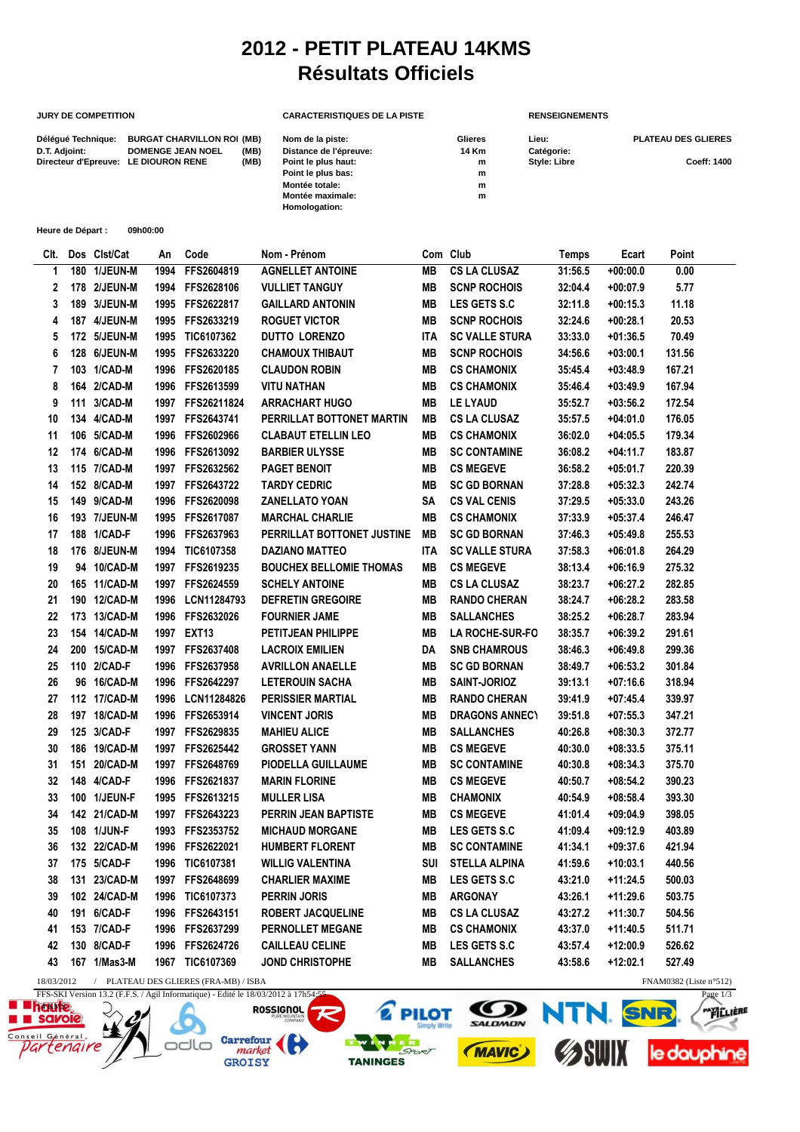## **2012 - PETIT PLATEAU 14KMS Résultats Officiels**

## **JURY DE COMPETITION CARACTERISTIQUES DE LA PISTE RENSEIGNEMENTS**

| Délégué Technique: | <b>BURGAT CHARVILLON ROI (MB)</b>    |      | Nom de la piste:       | Glieres | Lieu:               | <b>PLATEAU DES GLIERES</b> |
|--------------------|--------------------------------------|------|------------------------|---------|---------------------|----------------------------|
| D.T. Adjoint:      | <b>DOMENGE JEAN NOEL</b>             | (MB) | Distance de l'épreuve: | 14 Km   | Catégorie:          |                            |
|                    | Directeur d'Epreuve: LE DIOURON RENE | (MB) | Point le plus haut:    | m       | <b>Style: Libre</b> | Coeff: 1400                |
|                    |                                      |      | Point le plus bas:     | m       |                     |                            |
|                    |                                      |      | Montée totale:         | m       |                     |                            |
|                    |                                      |      | Montée maximale:       | m       |                     |                            |
|                    |                                      |      | Homologation:          |         |                     |                            |
|                    |                                      |      |                        |         |                     |                            |

| Heure de Départ :<br>09h00:00                                                 |     |              |      |                 |                                |            |                        |         |            |        |
|-------------------------------------------------------------------------------|-----|--------------|------|-----------------|--------------------------------|------------|------------------------|---------|------------|--------|
| CIt.                                                                          |     | Dos Clst/Cat | An   | Code            | Nom - Prénom                   |            | Com Club               | Temps   | Ecart      | Point  |
| 1                                                                             |     | 180 1/JEUN-M | 1994 | FFS2604819      | <b>AGNELLET ANTOINE</b>        | MВ         | <b>CS LA CLUSAZ</b>    | 31:56.5 | $+00:00.0$ | 0.00   |
| 2                                                                             |     | 178 2/JEUN-M | 1994 | FFS2628106      | <b>VULLIET TANGUY</b>          | MВ         | <b>SCNP ROCHOIS</b>    | 32:04.4 | $+00:07.9$ | 5.77   |
| 3                                                                             |     | 189 3/JEUN-M | 1995 | FFS2622817      | <b>GAILLARD ANTONIN</b>        | MВ         | LES GETS S.C           | 32:11.8 | +00:15.3   | 11.18  |
| 4                                                                             |     | 187 4/JEUN-M | 1995 | FFS2633219      | <b>ROGUET VICTOR</b>           | MВ         | <b>SCNP ROCHOIS</b>    | 32:24.6 | $+00:28.1$ | 20.53  |
| 5                                                                             |     | 172 5/JEUN-M | 1995 | TIC6107362      | <b>DUTTO LORENZO</b>           | <b>ITA</b> | <b>SC VALLE STURA</b>  | 33:33.0 | $+01:36.5$ | 70.49  |
| 6                                                                             |     | 128 6/JEUN-M | 1995 | FFS2633220      | <b>CHAMOUX THIBAUT</b>         | MВ         | <b>SCNP ROCHOIS</b>    | 34:56.6 | $+03:00.1$ | 131.56 |
| 7                                                                             |     | 103 1/CAD-M  | 1996 | FFS2620185      | <b>CLAUDON ROBIN</b>           | MВ         | <b>CS CHAMONIX</b>     | 35:45.4 | $+03:48.9$ | 167.21 |
| 8                                                                             |     | 164 2/CAD-M  | 1996 | FFS2613599      | <b>VITU NATHAN</b>             | MВ         | <b>CS CHAMONIX</b>     | 35:46.4 | $+03:49.9$ | 167.94 |
| 9                                                                             | 111 | 3/CAD-M      | 1997 | FFS26211824     | <b>ARRACHART HUGO</b>          | MВ         | LE LYAUD               | 35:52.7 | $+03:56.2$ | 172.54 |
| 10                                                                            |     | 134 4/CAD-M  | 1997 | FFS2643741      | PERRILLAT BOTTONET MARTIN      | MВ         | <b>CS LA CLUSAZ</b>    | 35:57.5 | $+04:01.0$ | 176.05 |
| 11                                                                            |     | 106 5/CAD-M  | 1996 | FFS2602966      | <b>CLABAUT ETELLIN LEO</b>     | MВ         | <b>CS CHAMONIX</b>     | 36:02.0 | $+04:05.5$ | 179.34 |
| 12                                                                            |     | 174 6/CAD-M  | 1996 | FFS2613092      | <b>BARBIER ULYSSE</b>          | MB         | <b>SC CONTAMINE</b>    | 36:08.2 | +04:11.7   | 183.87 |
| 13                                                                            |     | 115 7/CAD-M  | 1997 | FFS2632562      | <b>PAGET BENOIT</b>            | MВ         | <b>CS MEGEVE</b>       | 36:58.2 | +05:01.7   | 220.39 |
| 14                                                                            |     | 152 8/CAD-M  | 1997 | FFS2643722      | <b>TARDY CEDRIC</b>            | MВ         | <b>SC GD BORNAN</b>    | 37:28.8 | $+05:32.3$ | 242.74 |
| 15                                                                            |     | 149 9/CAD-M  | 1996 | FFS2620098      | <b>ZANELLATO YOAN</b>          | SA         | <b>CS VAL CENIS</b>    | 37:29.5 | $+05:33.0$ | 243.26 |
| 16                                                                            |     | 193 7/JEUN-M | 1995 | FFS2617087      | <b>MARCHAL CHARLIE</b>         | MВ         | <b>CS CHAMONIX</b>     | 37:33.9 | $+05:37.4$ | 246.47 |
| 17                                                                            |     | 188 1/CAD-F  | 1996 | FFS2637963      | PERRILLAT BOTTONET JUSTINE     | MB         | <b>SC GD BORNAN</b>    | 37:46.3 | $+05:49.8$ | 255.53 |
| 18                                                                            |     | 176 8/JEUN-M | 1994 | TIC6107358      | <b>DAZIANO MATTEO</b>          | <b>ITA</b> | <b>SC VALLE STURA</b>  | 37:58.3 | $+06:01.8$ | 264.29 |
| 19                                                                            |     | 94 10/CAD-M  | 1997 | FFS2619235      | <b>BOUCHEX BELLOMIE THOMAS</b> | MВ         | <b>CS MEGEVE</b>       | 38:13.4 | $+06:16.9$ | 275.32 |
| 20                                                                            |     | 165 11/CAD-M | 1997 | FFS2624559      | <b>SCHELY ANTOINE</b>          | MВ         | <b>CS LA CLUSAZ</b>    | 38:23.7 | +06:27.2   | 282.85 |
| 21                                                                            |     | 190 12/CAD-M | 1996 | LCN11284793     | <b>DEFRETIN GREGOIRE</b>       | MВ         | <b>RANDO CHERAN</b>    | 38:24.7 | $+06:28.2$ | 283.58 |
| 22                                                                            |     | 173 13/CAD-M | 1996 | FFS2632026      | <b>FOURNIER JAME</b>           | MВ         | <b>SALLANCHES</b>      | 38:25.2 | $+06:28.7$ | 283.94 |
| 23                                                                            |     | 154 14/CAD-M | 1997 | <b>EXT13</b>    | PETITJEAN PHILIPPE             | MВ         | <b>LA ROCHE-SUR-FO</b> | 38:35.7 | $+06:39.2$ | 291.61 |
| 24                                                                            |     | 200 15/CAD-M | 1997 | FFS2637408      | <b>LACROIX EMILIEN</b>         | DA         | <b>SNB CHAMROUS</b>    | 38:46.3 | $+06:49.8$ | 299.36 |
| 25                                                                            |     | 110 2/CAD-F  | 1996 | FFS2637958      | <b>AVRILLON ANAELLE</b>        | MВ         | <b>SC GD BORNAN</b>    | 38:49.7 | $+06:53.2$ | 301.84 |
| 26                                                                            |     | 96 16/CAD-M  | 1996 | FFS2642297      | <b>LETEROUIN SACHA</b>         | MВ         | SAINT-JORIOZ           | 39:13.1 | $+07:16.6$ | 318.94 |
| 27                                                                            |     | 112 17/CAD-M | 1996 | LCN11284826     | <b>PERISSIER MARTIAL</b>       | MВ         | <b>RANDO CHERAN</b>    | 39:41.9 | $+07:45.4$ | 339.97 |
| 28                                                                            |     | 197 18/CAD-M | 1996 | FFS2653914      | <b>VINCENT JORIS</b>           | MВ         | <b>DRAGONS ANNECY</b>  | 39:51.8 | $+07:55.3$ | 347.21 |
| 29                                                                            |     | 125 3/CAD-F  | 1997 | FFS2629835      | <b>MAHIEU ALICE</b>            | MВ         | <b>SALLANCHES</b>      | 40:26.8 | $+08:30.3$ | 372.77 |
| 30                                                                            |     | 186 19/CAD-M | 1997 | FFS2625442      | <b>GROSSET YANN</b>            | MВ         | <b>CS MEGEVE</b>       | 40:30.0 | +08:33.5   | 375.11 |
| 31                                                                            | 151 | 20/CAD-M     | 1997 | FFS2648769      | PIODELLA GUILLAUME             | MВ         | <b>SC CONTAMINE</b>    | 40:30.8 | $+08:34.3$ | 375.70 |
| 32                                                                            |     | 148 4/CAD-F  | 1996 | FFS2621837      | <b>MARIN FLORINE</b>           | MВ         | <b>CS MEGEVE</b>       | 40:50.7 | +08:54.2   | 390.23 |
| 33                                                                            |     | 100 1/JEUN-F | 1995 | FFS2613215      | <b>MULLER LISA</b>             | MВ         | <b>CHAMONIX</b>        | 40:54.9 | $+08:58.4$ | 393.30 |
| 34                                                                            |     | 142 21/CAD-M | 1997 | FFS2643223      | <b>PERRIN JEAN BAPTISTE</b>    | MВ         | <b>CS MEGEVE</b>       | 41:01.4 | +09:04.9   | 398.05 |
| 35                                                                            |     | 108 1/JUN-F  |      | 1993 FFS2353752 | <b>MICHAUD MORGANE</b>         | MВ         | LES GETS S.C           | 41:09.4 | $+09:12.9$ | 403.89 |
| 36                                                                            |     | 132 22/CAD-M | 1996 | FFS2622021      | <b>HUMBERT FLORENT</b>         | MВ         | <b>SC CONTAMINE</b>    | 41:34.1 | $+09:37.6$ | 421.94 |
| 37                                                                            |     | 175 5/CAD-F  |      | 1996 TIC6107381 | <b>WILLIG VALENTINA</b>        | SUI        | <b>STELLA ALPINA</b>   | 41:59.6 | $+10:03.1$ | 440.56 |
| 38                                                                            |     | 131 23/CAD-M |      | 1997 FFS2648699 | <b>CHARLIER MAXIME</b>         | MВ         | <b>LES GETS S.C</b>    | 43:21.0 | +11:24.5   | 500.03 |
| 39                                                                            |     | 102 24/CAD-M |      | 1996 TIC6107373 | <b>PERRIN JORIS</b>            | MВ         | <b>ARGONAY</b>         | 43:26.1 | +11:29.6   | 503.75 |
| 40                                                                            |     | 191 6/CAD-F  |      | 1996 FFS2643151 | <b>ROBERT JACQUELINE</b>       | MВ         | <b>CS LA CLUSAZ</b>    | 43:27.2 | +11:30.7   | 504.56 |
| 41                                                                            |     | 153 7/CAD-F  |      | 1996 FFS2637299 | PERNOLLET MEGANE               | MВ         | <b>CS CHAMONIX</b>     | 43:37.0 | +11:40.5   | 511.71 |
| 42                                                                            |     | 130 8/CAD-F  |      | 1996 FFS2624726 | <b>CAILLEAU CELINE</b>         | MВ         | LES GETS S.C           | 43:57.4 | +12:00.9   | 526.62 |
| 43                                                                            |     | 167 1/Mas3-M |      | 1967 TIC6107369 | JOND CHRISTOPHE                | MВ         | <b>SALLANCHES</b>      | 43:58.6 | +12:02.1   | 527.49 |
| / PLATEAU DES GLIERES (FRA-MB) / ISBA<br>FNAM0382 (Liste n°512)<br>18/03/2012 |     |              |      |                 |                                |            |                        |         |            |        |

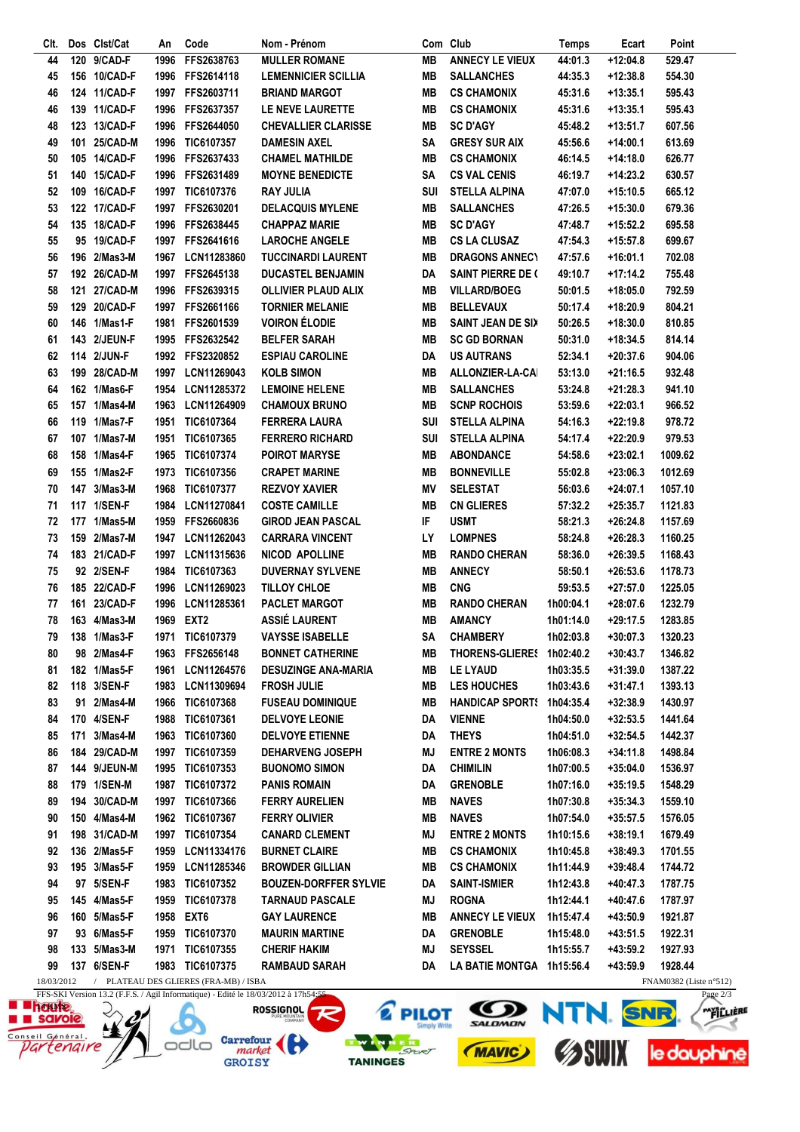| Clt.             |     | Dos Clst/Cat | An   | Code                                  | Nom - Prénom                 |           | Com Club                  | Temps     | Ecart      | Point                  |
|------------------|-----|--------------|------|---------------------------------------|------------------------------|-----------|---------------------------|-----------|------------|------------------------|
| 44               | 120 | 9/CAD-F      | 1996 | FFS2638763                            | <b>MULLER ROMANE</b>         | <b>MB</b> | <b>ANNECY LE VIEUX</b>    | 44:01.3   | $+12:04.8$ | 529.47                 |
| 45               |     | 156 10/CAD-F | 1996 | FFS2614118                            | <b>LEMENNICIER SCILLIA</b>   | <b>MB</b> | <b>SALLANCHES</b>         | 44:35.3   | $+12:38.8$ | 554.30                 |
| 46               |     | 124 11/CAD-F | 1997 | FFS2603711                            | <b>BRIAND MARGOT</b>         | <b>MB</b> | <b>CS CHAMONIX</b>        | 45:31.6   | $+13:35.1$ | 595.43                 |
| 46               |     | 139 11/CAD-F | 1996 | FFS2637357                            | LE NEVE LAURETTE             | <b>MB</b> | <b>CS CHAMONIX</b>        | 45:31.6   | $+13:35.1$ | 595.43                 |
| 48               |     | 123 13/CAD-F | 1996 | FFS2644050                            | <b>CHEVALLIER CLARISSE</b>   | <b>MB</b> | <b>SC D'AGY</b>           | 45:48.2   | $+13:51.7$ | 607.56                 |
| 49               |     | 101 25/CAD-M | 1996 | TIC6107357                            | <b>DAMESIN AXEL</b>          | SA        | <b>GRESY SUR AIX</b>      | 45:56.6   | +14:00.1   | 613.69                 |
| 50               |     | 105 14/CAD-F | 1996 | FFS2637433                            | <b>CHAMEL MATHILDE</b>       | <b>MB</b> | <b>CS CHAMONIX</b>        | 46:14.5   | +14:18.0   | 626.77                 |
| 51               |     | 140 15/CAD-F | 1996 | FFS2631489                            | <b>MOYNE BENEDICTE</b>       | SA        | <b>CS VAL CENIS</b>       | 46:19.7   | $+14:23.2$ | 630.57                 |
|                  |     | 109 16/CAD-F |      | 1997 TIC6107376                       | <b>RAY JULIA</b>             | SUI       | <b>STELLA ALPINA</b>      |           | $+15:10.5$ | 665.12                 |
| 52               |     |              |      |                                       |                              |           |                           | 47:07.0   |            |                        |
| 53               |     | 122 17/CAD-F |      | 1997 FFS2630201                       | <b>DELACQUIS MYLENE</b>      | MВ        | <b>SALLANCHES</b>         | 47:26.5   | $+15:30.0$ | 679.36                 |
| 54               |     | 135 18/CAD-F | 1996 | <b>FFS2638445</b>                     | <b>CHAPPAZ MARIE</b>         | <b>MB</b> | <b>SC D'AGY</b>           | 47:48.7   | $+15:52.2$ | 695.58                 |
| 55               |     | 95 19/CAD-F  |      | 1997 FFS2641616                       | <b>LAROCHE ANGELE</b>        | MВ        | <b>CS LA CLUSAZ</b>       | 47:54.3   | $+15:57.8$ | 699.67                 |
| 56               |     | 196 2/Mas3-M |      | 1967 LCN11283860                      | <b>TUCCINARDI LAURENT</b>    | MВ        | <b>DRAGONS ANNECY</b>     | 47:57.6   | $+16:01.1$ | 702.08                 |
| 57               |     | 192 26/CAD-M |      | 1997 FFS2645138                       | <b>DUCASTEL BENJAMIN</b>     | DA        | <b>SAINT PIERRE DE (</b>  | 49:10.7   | $+17:14.2$ | 755.48                 |
| 58               | 121 | 27/CAD-M     | 1996 | FFS2639315                            | <b>OLLIVIER PLAUD ALIX</b>   | MΒ        | <b>VILLARD/BOEG</b>       | 50:01.5   | $+18:05.0$ | 792.59                 |
| 59               |     | 129 20/CAD-F |      | 1997 FFS2661166                       | <b>TORNIER MELANIE</b>       | MB        | <b>BELLEVAUX</b>          | 50:17.4   | +18:20.9   | 804.21                 |
| 60               |     | 146 1/Mas1-F | 1981 | FFS2601539                            | <b>VOIRON ÉLODIE</b>         | <b>MB</b> | <b>SAINT JEAN DE SIX</b>  | 50:26.5   | $+18:30.0$ | 810.85                 |
| 61               |     | 143 2/JEUN-F |      | 1995 FFS2632542                       | <b>BELFER SARAH</b>          | <b>MB</b> | <b>SC GD BORNAN</b>       | 50:31.0   | $+18:34.5$ | 814.14                 |
| 62               |     | 114 2/JUN-F  |      | 1992 FFS2320852                       | <b>ESPIAU CAROLINE</b>       | DA        | <b>US AUTRANS</b>         | 52:34.1   | $+20:37.6$ | 904.06                 |
| 63               |     | 199 28/CAD-M |      | 1997 LCN11269043                      | <b>KOLB SIMON</b>            | MВ        | ALLONZIER-LA-CAI          | 53:13.0   | $+21:16.5$ | 932.48                 |
| 64               |     | 162 1/Mas6-F | 1954 | LCN11285372                           | <b>LEMOINE HELENE</b>        | MB        | <b>SALLANCHES</b>         | 53:24.8   | $+21:28.3$ | 941.10                 |
| 65               |     | 157 1/Mas4-M | 1963 | LCN11264909                           | <b>CHAMOUX BRUNO</b>         | MВ        | <b>SCNP ROCHOIS</b>       | 53:59.6   | $+22:03.1$ | 966.52                 |
| 66               |     | 119 1/Mas7-F | 1951 | TIC6107364                            | <b>FERRERA LAURA</b>         | SUI       | <b>STELLA ALPINA</b>      | 54:16.3   | $+22:19.8$ | 978.72                 |
| 67               |     | 107 1/Mas7-M |      |                                       | <b>FERRERO RICHARD</b>       | SUI       | <b>STELLA ALPINA</b>      |           |            |                        |
|                  |     |              | 1951 | TIC6107365                            |                              |           |                           | 54:17.4   | +22:20.9   | 979.53                 |
| 68               |     | 158 1/Mas4-F | 1965 | TIC6107374                            | <b>POIROT MARYSE</b>         | MВ        | <b>ABONDANCE</b>          | 54:58.6   | $+23:02.1$ | 1009.62                |
| 69               |     | 155 1/Mas2-F | 1973 | TIC6107356                            | <b>CRAPET MARINE</b>         | <b>MB</b> | <b>BONNEVILLE</b>         | 55:02.8   | $+23:06.3$ | 1012.69                |
| 70               |     | 147 3/Mas3-M | 1968 | TIC6107377                            | <b>REZVOY XAVIER</b>         | MV        | <b>SELESTAT</b>           | 56:03.6   | $+24:07.1$ | 1057.10                |
| 71               |     | 117 1/SEN-F  | 1984 | <b>LCN11270841</b>                    | <b>COSTE CAMILLE</b>         | MВ        | <b>CN GLIERES</b>         | 57:32.2   | $+25:35.7$ | 1121.83                |
| 72               |     | 177 1/Mas5-M | 1959 | <b>FFS2660836</b>                     | <b>GIROD JEAN PASCAL</b>     | IF        | <b>USMT</b>               | 58:21.3   | $+26:24.8$ | 1157.69                |
| 73               |     | 159 2/Mas7-M | 1947 | LCN11262043                           | <b>CARRARA VINCENT</b>       | LY        | <b>LOMPNES</b>            | 58:24.8   | $+26:28.3$ | 1160.25                |
| 74               |     | 183 21/CAD-F |      | 1997 LCN11315636                      | <b>NICOD APOLLINE</b>        | MВ        | <b>RANDO CHERAN</b>       | 58:36.0   | $+26:39.5$ | 1168.43                |
| 75               |     | 92 2/SEN-F   | 1984 | TIC6107363                            | <b>DUVERNAY SYLVENE</b>      | MВ        | <b>ANNECY</b>             | 58:50.1   | $+26:53.6$ | 1178.73                |
| 76               |     | 185 22/CAD-F | 1996 | LCN11269023                           | TILLOY CHLOE                 | <b>MB</b> | <b>CNG</b>                | 59:53.5   | $+27:57.0$ | 1225.05                |
| 77               | 161 | 23/CAD-F     | 1996 | <b>LCN11285361</b>                    | <b>PACLET MARGOT</b>         | MВ        | <b>RANDO CHERAN</b>       | 1h00:04.1 | $+28:07.6$ | 1232.79                |
| 78               |     | 163 4/Mas3-M | 1969 | EXT <sub>2</sub>                      | ASSIÉ LAURENT                | MВ        | <b>AMANCY</b>             | 1h01:14.0 | $+29:17.5$ | 1283.85                |
| 79               |     | 138 1/Mas3-F | 1971 | TIC6107379                            | <b>VAYSSE ISABELLE</b>       | SΑ        | <b>CHAMBERY</b>           | 1h02:03.8 | $+30:07.3$ | 1320.23                |
| 80               |     | 98 2/Mas4-F  |      | 1963 FFS2656148                       | <b>BONNET CATHERINE</b>      | MВ        | THORENS-GLIERES 1h02:40.2 |           | $+30:43.7$ | 1346.82                |
| 81               |     | 182 1/Mas5-F |      | 1961 LCN11264576                      | <b>DESUZINGE ANA-MARIA</b>   | MВ        | LE LYAUD                  | 1h03:35.5 | $+31:39.0$ | 1387.22                |
|                  |     |              |      |                                       |                              |           |                           |           |            |                        |
| 82               |     | 118 3/SEN-F  |      | 1983 LCN11309694                      | <b>FROSH JULIE</b>           | MВ        | LES HOUCHES               | 1h03:43.6 | $+31:47.1$ | 1393.13                |
| 83               |     | 91 2/Mas4-M  |      | 1966 TIC6107368                       | <b>FUSEAU DOMINIQUE</b>      | MВ        | <b>HANDICAP SPORTS</b>    | 1h04:35.4 | $+32:38.9$ | 1430.97                |
| 84               |     | 170 4/SEN-F  |      | 1988 TIC6107361                       | <b>DELVOYE LEONIE</b>        | DA        | <b>VIENNE</b>             | 1h04:50.0 | $+32:53.5$ | 1441.64                |
| 85               | 171 | 3/Mas4-M     |      | 1963 TIC6107360                       | <b>DELVOYE ETIENNE</b>       | DA        | <b>THEYS</b>              | 1h04:51.0 | $+32:54.5$ | 1442.37                |
| 86               |     | 184 29/CAD-M |      | 1997 TIC6107359                       | <b>DEHARVENG JOSEPH</b>      | MJ        | <b>ENTRE 2 MONTS</b>      | 1h06:08.3 | $+34:11.8$ | 1498.84                |
| 87               |     | 144 9/JEUN-M |      | 1995 TIC6107353                       | <b>BUONOMO SIMON</b>         | DA        | <b>CHIMILIN</b>           | 1h07:00.5 | $+35:04.0$ | 1536.97                |
| 88               |     | 179 1/SEN-M  |      | 1987 TIC6107372                       | <b>PANIS ROMAIN</b>          | DA        | <b>GRENOBLE</b>           | 1h07:16.0 | $+35:19.5$ | 1548.29                |
| 89               |     | 194 30/CAD-M | 1997 | TIC6107366                            | <b>FERRY AURELIEN</b>        | MВ        | <b>NAVES</b>              | 1h07:30.8 | $+35:34.3$ | 1559.10                |
| 90               |     | 150 4/Mas4-M |      | 1962 TIC6107367                       | <b>FERRY OLIVIER</b>         | MВ        | <b>NAVES</b>              | 1h07:54.0 | $+35:57.5$ | 1576.05                |
| 91               |     | 198 31/CAD-M | 1997 | TIC6107354                            | <b>CANARD CLEMENT</b>        | MJ        | <b>ENTRE 2 MONTS</b>      | 1h10:15.6 | $+38:19.1$ | 1679.49                |
| 92               |     | 136 2/Mas5-F | 1959 | LCN11334176                           | <b>BURNET CLAIRE</b>         | MВ        | <b>CS CHAMONIX</b>        | 1h10:45.8 | $+38:49.3$ | 1701.55                |
| 93               |     | 195 3/Mas5-F | 1959 | LCN11285346                           | <b>BROWDER GILLIAN</b>       | MВ        | <b>CS CHAMONIX</b>        | 1h11:44.9 | $+39:48.4$ | 1744.72                |
| 94               |     | 97 5/SEN-F   |      | 1983 TIC6107352                       | <b>BOUZEN-DORFFER SYLVIE</b> | DA        | <b>SAINT-ISMIER</b>       | 1h12:43.8 | $+40:47.3$ | 1787.75                |
| 95               |     | 145 4/Mas5-F |      | 1959 TIC6107378                       | <b>TARNAUD PASCALE</b>       | MJ        | <b>ROGNA</b>              | 1h12:44.1 | +40:47.6   | 1787.97                |
| 96               |     | 160 5/Mas5-F |      | 1958 EXT6                             | <b>GAY LAURENCE</b>          | MВ        | <b>ANNECY LE VIEUX</b>    | 1h15:47.4 | $+43:50.9$ | 1921.87                |
| 97               |     | 93 6/Mas5-F  |      | 1959 TIC6107370                       | <b>MAURIN MARTINE</b>        | DA        | <b>GRENOBLE</b>           | 1h15:48.0 | $+43:51.5$ | 1922.31                |
| 98               |     | 133 5/Mas3-M |      | 1971 TIC6107355                       | <b>CHERIF HAKIM</b>          | MJ        | <b>SEYSSEL</b>            | 1h15:55.7 | $+43:59.2$ | 1927.93                |
|                  |     |              |      |                                       |                              |           |                           |           |            |                        |
| 99<br>18/03/2012 |     | 137 6/SEN-F  |      | 1983 TIC6107375                       | <b>RAMBAUD SARAH</b>         | DA        | LA BATIE MONTGA 1h15:56.4 |           | +43:59.9   | 1928.44                |
|                  |     |              |      | / PLATEAU DES GLIERES (FRA-MB) / ISBA |                              |           |                           |           |            | FNAM0382 (Liste n°512) |